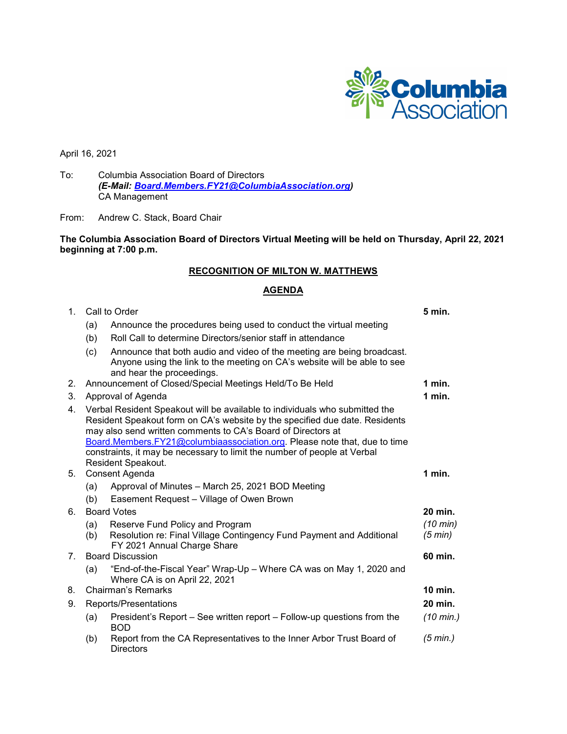

April 16, 2021

To: Columbia Association Board of Directors *(E-Mail: [Board.Members.FY21@ColumbiaAssociation.org\)](mailto:Board.Members.FY21@ColumbiaAssociation.org)* CA Management

From: Andrew C. Stack, Board Chair

**The Columbia Association Board of Directors Virtual Meeting will be held on Thursday, April 22, 2021 beginning at 7:00 p.m.**

# **RECOGNITION OF MILTON W. MATTHEWS**

# **AGENDA**

| $\mathbf 1$ . | Call to Order                                                                                                                                                                                                                                                                                                                                                                                             |                                                                                                                                                                                 |                     |
|---------------|-----------------------------------------------------------------------------------------------------------------------------------------------------------------------------------------------------------------------------------------------------------------------------------------------------------------------------------------------------------------------------------------------------------|---------------------------------------------------------------------------------------------------------------------------------------------------------------------------------|---------------------|
|               | (a)                                                                                                                                                                                                                                                                                                                                                                                                       | Announce the procedures being used to conduct the virtual meeting                                                                                                               |                     |
|               | (b)                                                                                                                                                                                                                                                                                                                                                                                                       | Roll Call to determine Directors/senior staff in attendance                                                                                                                     |                     |
|               | (c)                                                                                                                                                                                                                                                                                                                                                                                                       | Announce that both audio and video of the meeting are being broadcast.<br>Anyone using the link to the meeting on CA's website will be able to see<br>and hear the proceedings. |                     |
| 2.            |                                                                                                                                                                                                                                                                                                                                                                                                           | Announcement of Closed/Special Meetings Held/To Be Held                                                                                                                         | 1 min.              |
| 3.            | Approval of Agenda                                                                                                                                                                                                                                                                                                                                                                                        |                                                                                                                                                                                 |                     |
| 4.            | Verbal Resident Speakout will be available to individuals who submitted the<br>Resident Speakout form on CA's website by the specified due date. Residents<br>may also send written comments to CA's Board of Directors at<br>Board.Members.FY21@columbiaassociation.org. Please note that, due to time<br>constraints, it may be necessary to limit the number of people at Verbal<br>Resident Speakout. |                                                                                                                                                                                 |                     |
| 5.            | Consent Agenda                                                                                                                                                                                                                                                                                                                                                                                            |                                                                                                                                                                                 |                     |
|               | (a)                                                                                                                                                                                                                                                                                                                                                                                                       | Approval of Minutes - March 25, 2021 BOD Meeting                                                                                                                                |                     |
|               | (b)                                                                                                                                                                                                                                                                                                                                                                                                       | Easement Request - Village of Owen Brown                                                                                                                                        |                     |
| 6.            | <b>Board Votes</b>                                                                                                                                                                                                                                                                                                                                                                                        |                                                                                                                                                                                 |                     |
|               | (a)<br>(b)                                                                                                                                                                                                                                                                                                                                                                                                | Reserve Fund Policy and Program<br>Resolution re: Final Village Contingency Fund Payment and Additional<br>FY 2021 Annual Charge Share                                          | (10 min)<br>(5 min) |
| 7.            | <b>Board Discussion</b>                                                                                                                                                                                                                                                                                                                                                                                   |                                                                                                                                                                                 |                     |
|               | (a)                                                                                                                                                                                                                                                                                                                                                                                                       | "End-of-the-Fiscal Year" Wrap-Up - Where CA was on May 1, 2020 and<br>Where CA is on April 22, 2021                                                                             |                     |
| 8.            | Chairman's Remarks                                                                                                                                                                                                                                                                                                                                                                                        |                                                                                                                                                                                 | <b>10 min.</b>      |
| 9.            | Reports/Presentations                                                                                                                                                                                                                                                                                                                                                                                     |                                                                                                                                                                                 |                     |
|               | (a)                                                                                                                                                                                                                                                                                                                                                                                                       | President's Report – See written report – Follow-up questions from the<br><b>BOD</b>                                                                                            | $(10 \text{ min.})$ |
|               | (b)                                                                                                                                                                                                                                                                                                                                                                                                       | Report from the CA Representatives to the Inner Arbor Trust Board of<br>Directors                                                                                               | (5 min.)            |